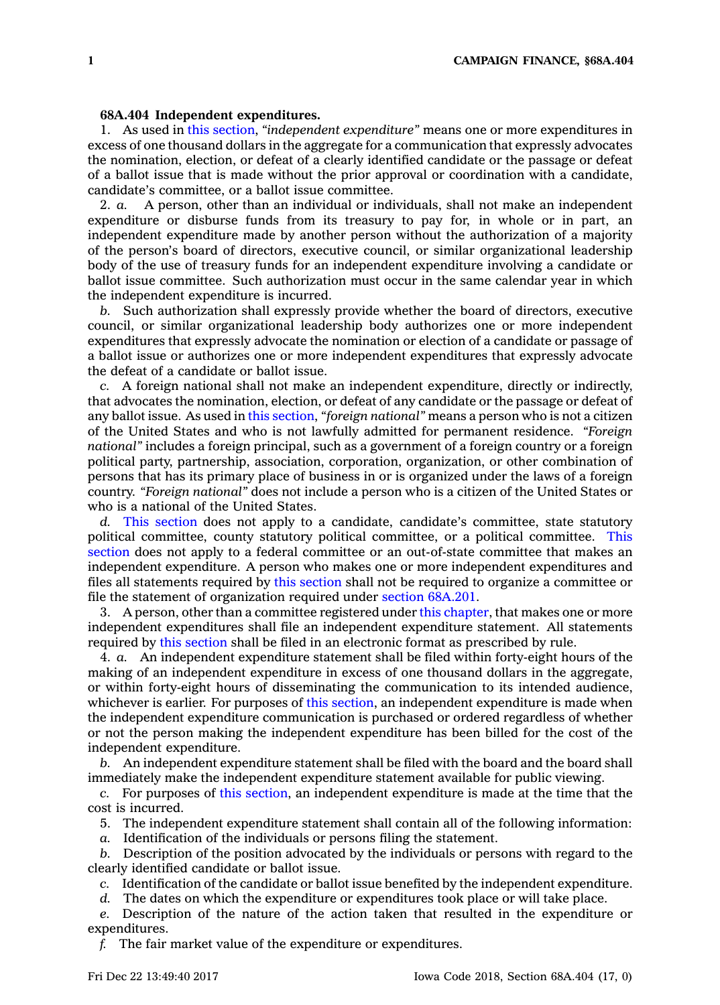## **68A.404 Independent expenditures.**

1. As used in this [section](https://www.legis.iowa.gov/docs/code/68A.404.pdf), *"independent expenditure"* means one or more expenditures in excess of one thousand dollars in the aggregate for <sup>a</sup> communication that expressly advocates the nomination, election, or defeat of <sup>a</sup> clearly identified candidate or the passage or defeat of <sup>a</sup> ballot issue that is made without the prior approval or coordination with <sup>a</sup> candidate, candidate's committee, or <sup>a</sup> ballot issue committee.

2. *a.* A person, other than an individual or individuals, shall not make an independent expenditure or disburse funds from its treasury to pay for, in whole or in part, an independent expenditure made by another person without the authorization of <sup>a</sup> majority of the person's board of directors, executive council, or similar organizational leadership body of the use of treasury funds for an independent expenditure involving <sup>a</sup> candidate or ballot issue committee. Such authorization must occur in the same calendar year in which the independent expenditure is incurred.

*b.* Such authorization shall expressly provide whether the board of directors, executive council, or similar organizational leadership body authorizes one or more independent expenditures that expressly advocate the nomination or election of <sup>a</sup> candidate or passage of <sup>a</sup> ballot issue or authorizes one or more independent expenditures that expressly advocate the defeat of <sup>a</sup> candidate or ballot issue.

*c.* A foreign national shall not make an independent expenditure, directly or indirectly, that advocates the nomination, election, or defeat of any candidate or the passage or defeat of any ballot issue. As used in this [section](https://www.legis.iowa.gov/docs/code/68A.404.pdf), *"foreign national"* means <sup>a</sup> person who is not <sup>a</sup> citizen of the United States and who is not lawfully admitted for permanent residence. *"Foreign national"* includes <sup>a</sup> foreign principal, such as <sup>a</sup> government of <sup>a</sup> foreign country or <sup>a</sup> foreign political party, partnership, association, corporation, organization, or other combination of persons that has its primary place of business in or is organized under the laws of <sup>a</sup> foreign country. *"Foreign national"* does not include <sup>a</sup> person who is <sup>a</sup> citizen of the United States or who is <sup>a</sup> national of the United States.

*d.* This [section](https://www.legis.iowa.gov/docs/code/68A.404.pdf) does not apply to <sup>a</sup> candidate, candidate's committee, state statutory political committee, county statutory political committee, or <sup>a</sup> political committee. [This](https://www.legis.iowa.gov/docs/code/68A.404.pdf) [section](https://www.legis.iowa.gov/docs/code/68A.404.pdf) does not apply to <sup>a</sup> federal committee or an out-of-state committee that makes an independent expenditure. A person who makes one or more independent expenditures and files all statements required by this [section](https://www.legis.iowa.gov/docs/code/68A.404.pdf) shall not be required to organize <sup>a</sup> committee or file the statement of organization required under section [68A.201](https://www.legis.iowa.gov/docs/code/68A.201.pdf).

3. A person, other than <sup>a</sup> committee registered under this [chapter](https://www.legis.iowa.gov/docs/code//68A.pdf), that makes one or more independent expenditures shall file an independent expenditure statement. All statements required by this [section](https://www.legis.iowa.gov/docs/code/68A.404.pdf) shall be filed in an electronic format as prescribed by rule.

4. *a.* An independent expenditure statement shall be filed within forty-eight hours of the making of an independent expenditure in excess of one thousand dollars in the aggregate, or within forty-eight hours of disseminating the communication to its intended audience, whichever is earlier. For purposes of this [section](https://www.legis.iowa.gov/docs/code/68A.404.pdf), an independent expenditure is made when the independent expenditure communication is purchased or ordered regardless of whether or not the person making the independent expenditure has been billed for the cost of the independent expenditure.

*b.* An independent expenditure statement shall be filed with the board and the board shall immediately make the independent expenditure statement available for public viewing.

*c.* For purposes of this [section](https://www.legis.iowa.gov/docs/code/68A.404.pdf), an independent expenditure is made at the time that the cost is incurred.

5. The independent expenditure statement shall contain all of the following information:

*a.* Identification of the individuals or persons filing the statement.

*b.* Description of the position advocated by the individuals or persons with regard to the clearly identified candidate or ballot issue.

*c.* Identification of the candidate or ballot issue benefited by the independent expenditure.

*d.* The dates on which the expenditure or expenditures took place or will take place.

*e.* Description of the nature of the action taken that resulted in the expenditure or expenditures.

*f.* The fair market value of the expenditure or expenditures.